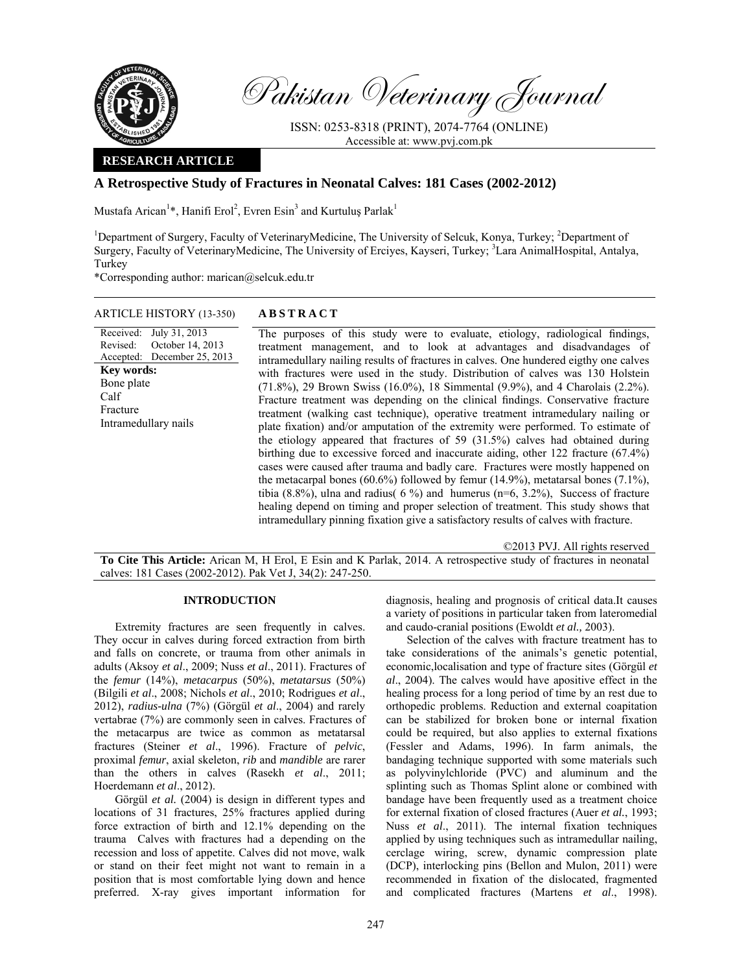

Calf

Pakistan Veterinary Journal

ISSN: 0253-8318 (PRINT), 2074-7764 (ONLINE) Accessible at: www.pvj.com.pk

# **RESEARCH ARTICLE**

# **A Retrospective Study of Fractures in Neonatal Calves: 181 Cases (2002-2012)**

Mustafa Arican<sup>1</sup>\*, Hanifi Erol<sup>2</sup>, Evren Esin<sup>3</sup> and Kurtuluş Parlak<sup>1</sup>

<sup>1</sup>Department of Surgery, Faculty of VeterinaryMedicine, The University of Selcuk, Konya, Turkey; <sup>2</sup>Department of Surgery, Faculty of VeterinaryMedicine, The University of Erciyes, Kayseri, Turkey; <sup>3</sup>Lara AnimalHospital, Antalya, Turkey

\*Corresponding author: marican@selcuk.edu.tr

## ARTICLE HISTORY (13-350) **ABSTRACT**

Received: July 31, 2013 Revised: Accepted: December 25, 2013 October 14, 2013 The purposes of this study were to evaluate, etiology, radiological findings, treatment management, and to look at advantages and disadvandages of intramedullary nailing results of fractures in calves. One hundered eigthy one calves with fractures were used in the study. Distribution of calves was 130 Holstein (71.8%), 29 Brown Swiss (16.0%), 18 Simmental (9.9%), and 4 Charolais (2.2%). Fracture treatment was depending on the clinical findings. Conservative fracture treatment (walking cast technique), operative treatment intramedulary nailing or plate fixation) and/or amputation of the extremity were performed. To estimate of the etiology appeared that fractures of 59 (31.5%) calves had obtained during birthing due to excessive forced and inaccurate aiding, other 122 fracture (67.4%) cases were caused after trauma and badly care. Fractures were mostly happened on the metacarpal bones (60.6%) followed by femur (14.9%), metatarsal bones (7.1%), tibia (8.8%), ulna and radius( 6 %) and humerus (n=6, 3.2%), Success of fracture healing depend on timing and proper selection of treatment. This study shows that intramedullary pinning fixation give a satisfactory results of calves with fracture. **Key words:**  Bone plate Fracture Intramedullary nails

©2013 PVJ. All rights reserved

**To Cite This Article:** Arican M, H Erol, E Esin and K Parlak, 2014. A retrospective study of fractures in neonatal calves: 181 Cases (2002-2012). Pak Vet J, 34(2): 247-250.

### **INTRODUCTION**

Extremity fractures are seen frequently in calves. They occur in calves during forced extraction from birth and falls on concrete, or trauma from other animals in adults (Aksoy *et al*., 2009; Nuss *et al*., 2011). Fractures of the *femur* (14%), *metacarpus* (50%), *metatarsus* (50%) (Bilgili *et al*., 2008; Nichols *et al*., 2010; Rodrigues *et al*., 2012), *radius-ulna* (7%) (Görgül *et al*., 2004) and rarely vertabrae (7%) are commonly seen in calves. Fractures of the metacarpus are twice as common as metatarsal fractures (Steiner *et al*., 1996). Fracture of *pelvic*, proximal *femur*, axial skeleton, *rib* and *mandible* are rarer than the others in calves (Rasekh *et al*., 2011; Hoerdemann *et al*., 2012).

Görgül *et al.* (2004) is design in different types and locations of 31 fractures, 25% fractures applied during force extraction of birth and 12.1% depending on the trauma Calves with fractures had a depending on the recession and loss of appetite. Calves did not move, walk or stand on their feet might not want to remain in a position that is most comfortable lying down and hence preferred. X-ray gives important information for

diagnosis, healing and prognosis of critical data.It causes a variety of positions in particular taken from lateromedial and caudo-cranial positions (Ewoldt *et al.,* 2003).

Selection of the calves with fracture treatment has to take considerations of the animals's genetic potential, economic,localisation and type of fracture sites (Görgül *et al*., 2004). The calves would have apositive effect in the healing process for a long period of time by an rest due to orthopedic problems. Reduction and external coapitation can be stabilized for broken bone or internal fixation could be required, but also applies to external fixations (Fessler and Adams, 1996). In farm animals, the bandaging technique supported with some materials such as polyvinylchloride (PVC) and aluminum and the splinting such as Thomas Splint alone or combined with bandage have been frequently used as a treatment choice for external fixation of closed fractures (Auer *et al.*, 1993; Nuss *et al*., 2011). The internal fixation techniques applied by using techniques such as intramedullar nailing, cerclage wiring, screw, dynamic compression plate (DCP), interlocking pins (Bellon and Mulon, 2011) were recommended in fixation of the dislocated, fragmented and complicated fractures (Martens *et al*., 1998).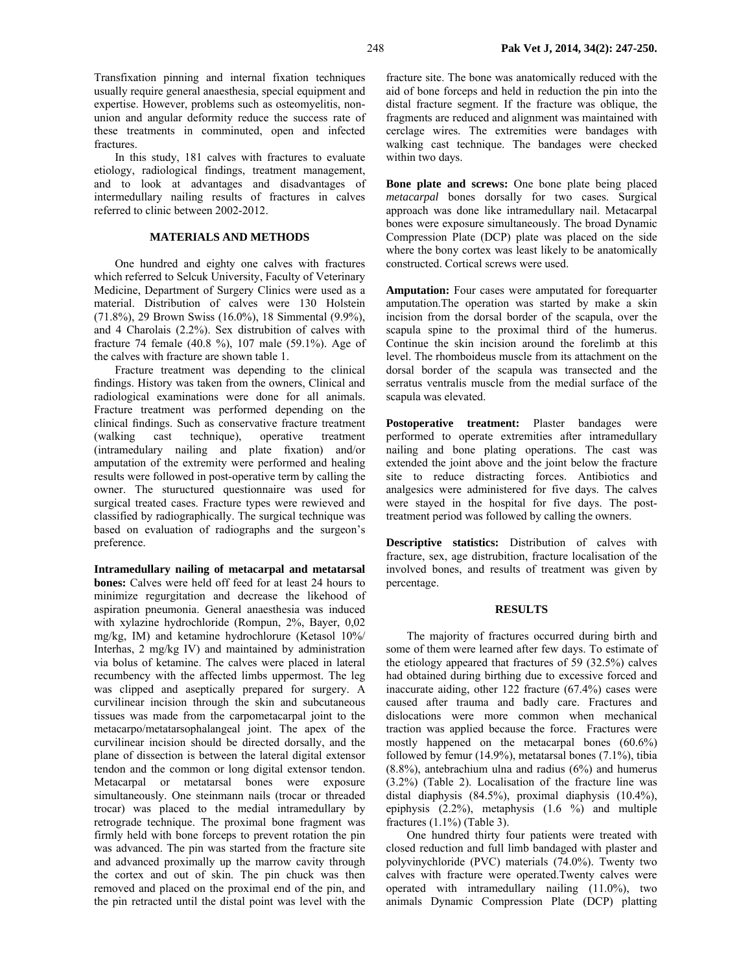Transfixation pinning and internal fixation techniques usually require general anaesthesia, special equipment and expertise. However, problems such as osteomyelitis, nonunion and angular deformity reduce the success rate of these treatments in comminuted, open and infected fractures.

In this study, 181 calves with fractures to evaluate etiology, radiological findings, treatment management, and to look at advantages and disadvantages of intermedullary nailing results of fractures in calves referred to clinic between 2002-2012.

# **MATERIALS AND METHODS**

One hundred and eighty one calves with fractures which referred to Selcuk University, Faculty of Veterinary Medicine, Department of Surgery Clinics were used as a material. Distribution of calves were 130 Holstein (71.8%), 29 Brown Swiss (16.0%), 18 Simmental (9.9%), and 4 Charolais (2.2%). Sex distrubition of calves with fracture 74 female (40.8 %), 107 male (59.1%). Age of the calves with fracture are shown table 1.

Fracture treatment was depending to the clinical findings. History was taken from the owners, Clinical and radiological examinations were done for all animals. Fracture treatment was performed depending on the clinical findings. Such as conservative fracture treatment (walking cast technique), operative treatment (intramedulary nailing and plate fixation) and/or amputation of the extremity were performed and healing results were followed in post-operative term by calling the owner. The stuructured questionnaire was used for surgical treated cases. Fracture types were rewieved and classified by radiographically. The surgical technique was based on evaluation of radiographs and the surgeon's preference.

**Intramedullary nailing of metacarpal and metatarsal bones:** Calves were held off feed for at least 24 hours to minimize regurgitation and decrease the likehood of aspiration pneumonia. General anaesthesia was induced with xylazine hydrochloride (Rompun, 2%, Bayer, 0,02 mg/kg, IM) and ketamine hydrochlorure (Ketasol 10%/ Interhas, 2 mg/kg IV) and maintained by administration via bolus of ketamine. The calves were placed in lateral recumbency with the affected limbs uppermost. The leg was clipped and aseptically prepared for surgery. A curvilinear incision through the skin and subcutaneous tissues was made from the carpometacarpal joint to the metacarpo/metatarsophalangeal joint. The apex of the curvilinear incision should be directed dorsally, and the plane of dissection is between the lateral digital extensor tendon and the common or long digital extensor tendon. Metacarpal or metatarsal bones were exposure simultaneously. One steinmann nails (trocar or threaded trocar) was placed to the medial intramedullary by retrograde technique. The proximal bone fragment was firmly held with bone forceps to prevent rotation the pin was advanced. The pin was started from the fracture site and advanced proximally up the marrow cavity through the cortex and out of skin. The pin chuck was then removed and placed on the proximal end of the pin, and the pin retracted until the distal point was level with the

fracture site. The bone was anatomically reduced with the aid of bone forceps and held in reduction the pin into the distal fracture segment. If the fracture was oblique, the fragments are reduced and alignment was maintained with cerclage wires. The extremities were bandages with walking cast technique. The bandages were checked within two days.

**Bone plate and screws:** One bone plate being placed *metacarpal* bones dorsally for two cases. Surgical approach was done like intramedullary nail. Metacarpal bones were exposure simultaneously. The broad Dynamic Compression Plate (DCP) plate was placed on the side where the bony cortex was least likely to be anatomically constructed. Cortical screws were used.

**Amputation:** Four cases were amputated for forequarter amputation.The operation was started by make a skin incision from the dorsal border of the scapula, over the scapula spine to the proximal third of the humerus. Continue the skin incision around the forelimb at this level. The rhomboideus muscle from its attachment on the dorsal border of the scapula was transected and the serratus ventralis muscle from the medial surface of the scapula was elevated.

Postoperative treatment: Plaster bandages were performed to operate extremities after intramedullary nailing and bone plating operations. The cast was extended the joint above and the joint below the fracture site to reduce distracting forces. Antibiotics and analgesics were administered for five days. The calves were stayed in the hospital for five days. The posttreatment period was followed by calling the owners.

**Descriptive statistics:** Distribution of calves with fracture, sex, age distrubition, fracture localisation of the involved bones, and results of treatment was given by percentage.

#### **RESULTS**

The majority of fractures occurred during birth and some of them were learned after few days. To estimate of the etiology appeared that fractures of 59 (32.5%) calves had obtained during birthing due to excessive forced and inaccurate aiding, other 122 fracture (67.4%) cases were caused after trauma and badly care. Fractures and dislocations were more common when mechanical traction was applied because the force. Fractures were mostly happened on the metacarpal bones (60.6%) followed by femur (14.9%), metatarsal bones (7.1%), tibia (8.8%), antebrachium ulna and radius (6%) and humerus (3.2%) (Table 2). Localisation of the fracture line was distal diaphysis (84.5%), proximal diaphysis (10.4%), epiphysis (2.2%), metaphysis (1.6 %) and multiple fractures (1.1%) (Table 3).

One hundred thirty four patients were treated with closed reduction and full limb bandaged with plaster and polyvinychloride (PVC) materials (74.0%). Twenty two calves with fracture were operated.Twenty calves were operated with intramedullary nailing (11.0%), two animals Dynamic Compression Plate (DCP) platting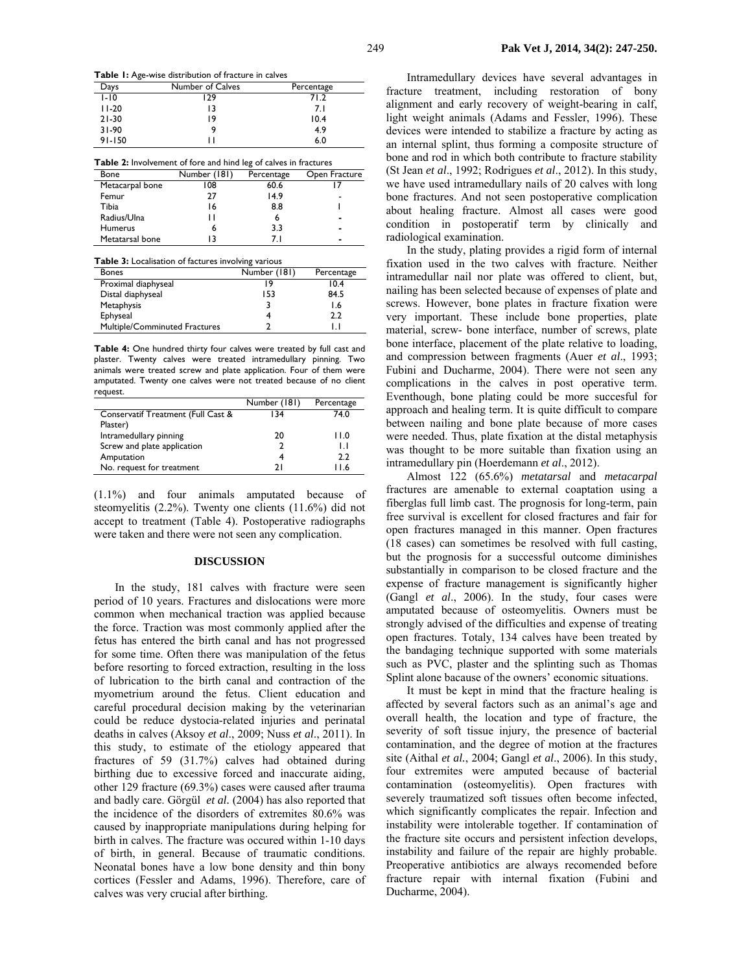**Table 1:** Age-wise distribution of fracture in calves

| Days       | Number of Calves | Percentage |
|------------|------------------|------------|
| $1 - 10$   | 129              | 71.2       |
| $11-20$    | 13               | 7.1        |
| $21-30$    | 19               | 10.4       |
| $31 - 90$  | 9                | 4.9        |
| $91 - 150$ | н                | 6.0        |

| <b>Table 2:</b> Involvement of fore and hind leg of calves in fractures |              |            |               |  |  |
|-------------------------------------------------------------------------|--------------|------------|---------------|--|--|
| Bone                                                                    | Number (181) | Percentage | Open Fracture |  |  |
| Metacarpal bone                                                         | 108          | 60.6       |               |  |  |
| Femur                                                                   | 77           | 14.9       |               |  |  |
| Tibia                                                                   | 16           | 8.8        |               |  |  |
| Radius/Ulna                                                             | 1 I          | 6          |               |  |  |
| <b>Humerus</b>                                                          | 6            | 3.3        |               |  |  |
| Metatarsal bone                                                         | 13           | 7 I        |               |  |  |

| <b>Table 3:</b> Localisation of factures involving various |              |            |  |  |  |
|------------------------------------------------------------|--------------|------------|--|--|--|
| <b>Bones</b>                                               | Number (181) | Percentage |  |  |  |
| Proximal diaphyseal                                        | ۰9           | 10.4       |  |  |  |
| Distal diaphyseal                                          | 153          | 84.5       |  |  |  |
| Metaphysis                                                 |              | I.6        |  |  |  |
| Ephyseal                                                   | 4            | 2.2        |  |  |  |
| Multiple/Comminuted Fractures                              |              | l l        |  |  |  |

**Table 4:** One hundred thirty four calves were treated by full cast and plaster. Twenty calves were treated intramedullary pinning. Two animals were treated screw and plate application. Four of them were amputated. Twenty one calves were not treated because of no client request.

|                                    | Number (181) | Percentage |
|------------------------------------|--------------|------------|
| Conservatif Treatment (Full Cast & | 134          | 74.0       |
| Plaster)                           |              |            |
| Intramedullary pinning             | 20           | 11.0       |
| Screw and plate application        |              | IJ         |
| Amputation                         |              | 2.2        |
| No. request for treatment          | າ ເ          | 11.6       |

(1.1%) and four animals amputated because of steomyelitis (2.2%). Twenty one clients (11.6%) did not accept to treatment (Table 4). Postoperative radiographs were taken and there were not seen any complication.

#### **DISCUSSION**

In the study, 181 calves with fracture were seen period of 10 years. Fractures and dislocations were more common when mechanical traction was applied because the force. Traction was most commonly applied after the fetus has entered the birth canal and has not progressed for some time. Often there was manipulation of the fetus before resorting to forced extraction, resulting in the loss of lubrication to the birth canal and contraction of the myometrium around the fetus. Client education and careful procedural decision making by the veterinarian could be reduce dystocia-related injuries and perinatal deaths in calves (Aksoy *et al*., 2009; Nuss *et al*., 2011). In this study, to estimate of the etiology appeared that fractures of 59 (31.7%) calves had obtained during birthing due to excessive forced and inaccurate aiding, other 129 fracture (69.3%) cases were caused after trauma and badly care. Görgül *et al.* (2004) has also reported that the incidence of the disorders of extremites 80.6% was caused by inappropriate manipulations during helping for birth in calves. The fracture was occured within 1-10 days of birth, in general. Because of traumatic conditions. Neonatal bones have a low bone density and thin bony cortices (Fessler and Adams, 1996). Therefore, care of calves was very crucial after birthing.

Intramedullary devices have several advantages in fracture treatment, including restoration of bony alignment and early recovery of weight-bearing in calf, light weight animals (Adams and Fessler, 1996). These devices were intended to stabilize a fracture by acting as an internal splint, thus forming a composite structure of bone and rod in which both contribute to fracture stability (St Jean *et al*., 1992; Rodrigues *et al*., 2012). In this study, we have used intramedullary nails of 20 calves with long bone fractures. And not seen postoperative complication about healing fracture. Almost all cases were good condition in postoperatif term by clinically and radiological examination.

In the study, plating provides a rigid form of internal fixation used in the two calves with fracture. Neither intramedullar nail nor plate was offered to client, but, nailing has been selected because of expenses of plate and screws. However, bone plates in fracture fixation were very important. These include bone properties, plate material, screw- bone interface, number of screws, plate bone interface, placement of the plate relative to loading, and compression between fragments (Auer *et al*., 1993; Fubini and Ducharme, 2004). There were not seen any complications in the calves in post operative term. Eventhough, bone plating could be more succesful for approach and healing term. It is quite difficult to compare between nailing and bone plate because of more cases were needed. Thus, plate fixation at the distal metaphysis was thought to be more suitable than fixation using an intramedullary pin (Hoerdemann *et al*., 2012).

Almost 122 (65.6%) *metatarsal* and *metacarpal*  fractures are amenable to external coaptation using a fiberglas full limb cast. The prognosis for long-term, pain free survival is excellent for closed fractures and fair for open fractures managed in this manner. Open fractures (18 cases) can sometimes be resolved with full casting, but the prognosis for a successful outcome diminishes substantially in comparison to be closed fracture and the expense of fracture management is significantly higher (Gangl *et al*., 2006). In the study, four cases were amputated because of osteomyelitis. Owners must be strongly advised of the difficulties and expense of treating open fractures. Totaly, 134 calves have been treated by the bandaging technique supported with some materials such as PVC, plaster and the splinting such as Thomas Splint alone bacause of the owners' economic situations.

It must be kept in mind that the fracture healing is affected by several factors such as an animal's age and overall health, the location and type of fracture, the severity of soft tissue injury, the presence of bacterial contamination, and the degree of motion at the fractures site (Aithal *et al.*, 2004; Gangl *et al*., 2006). In this study, four extremites were amputed because of bacterial contamination (osteomyelitis). Open fractures with severely traumatized soft tissues often become infected, which significantly complicates the repair. Infection and instability were intolerable together. If contamination of the fracture site occurs and persistent infection develops, instability and failure of the repair are highly probable. Preoperative antibiotics are always recomended before fracture repair with internal fixation (Fubini and Ducharme, 2004).